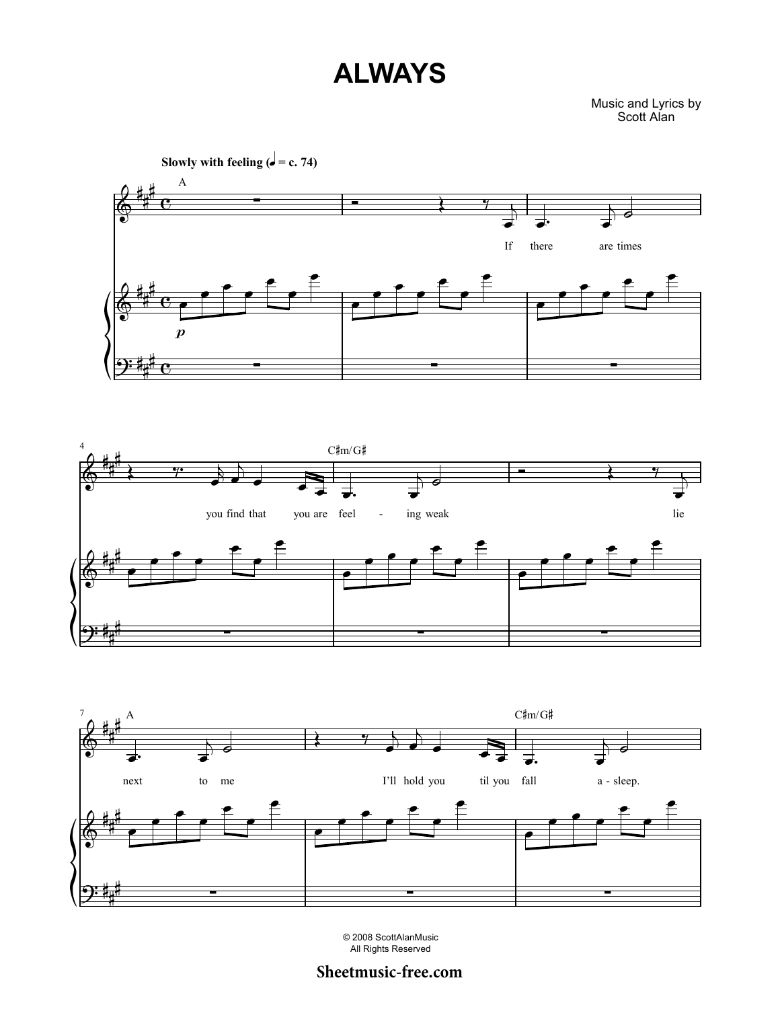## **ALWAYS**

Music and Lyrics by Scott Alan





© 2008 ScottAlanMusic All Rights Reserved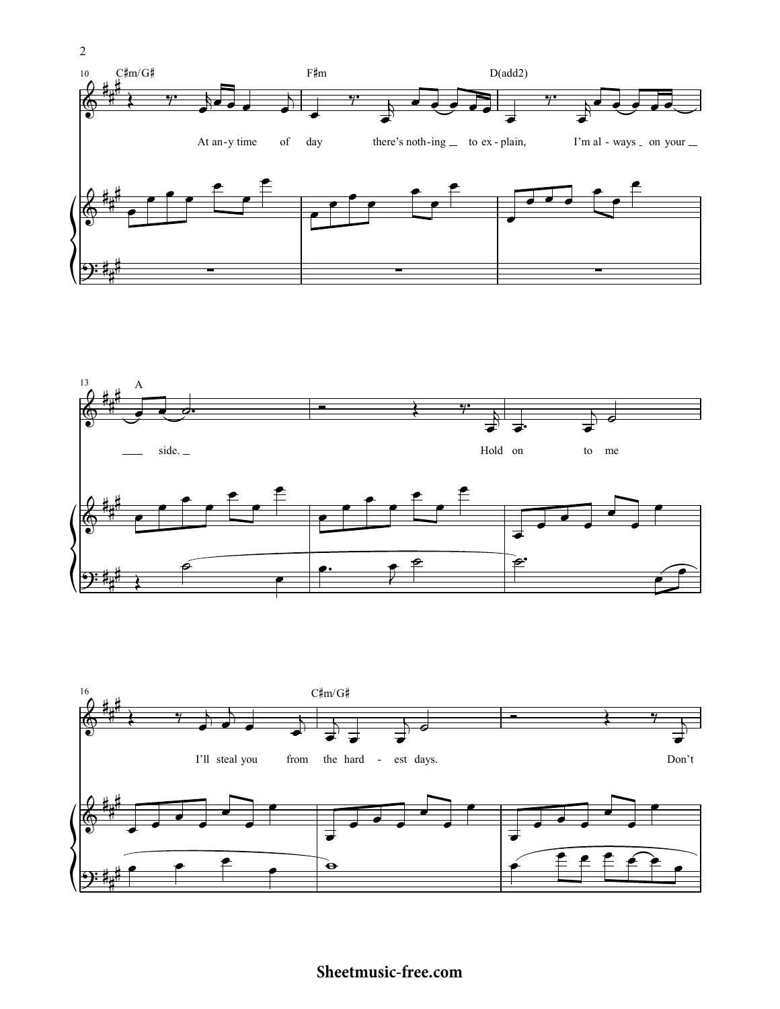2





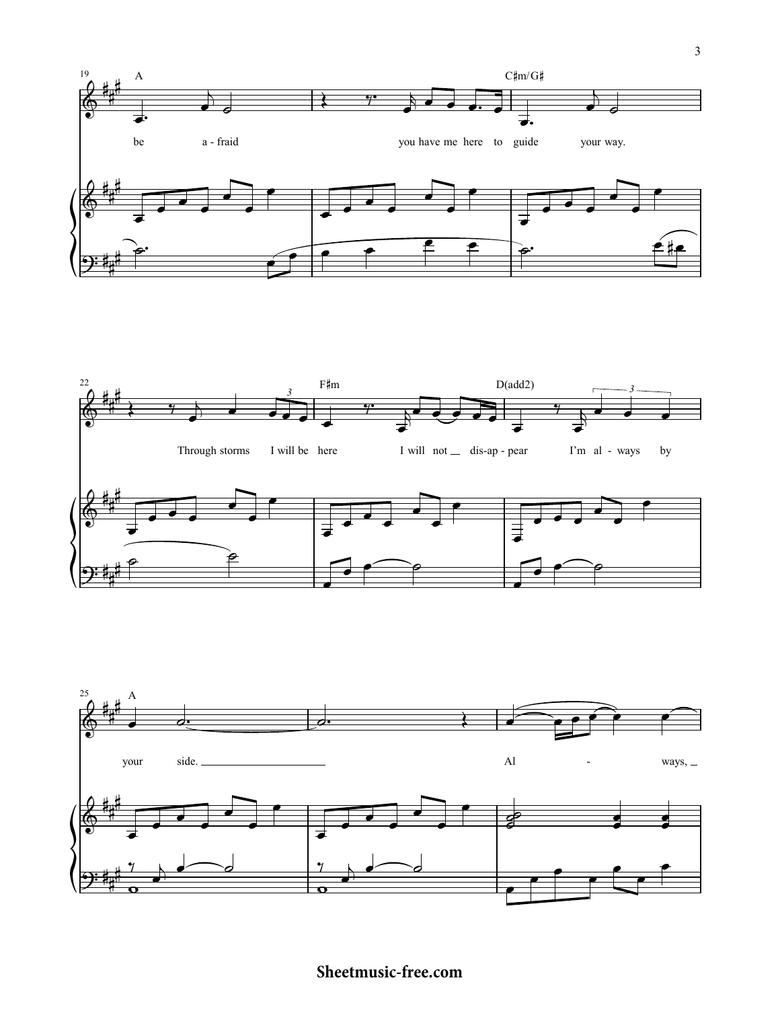



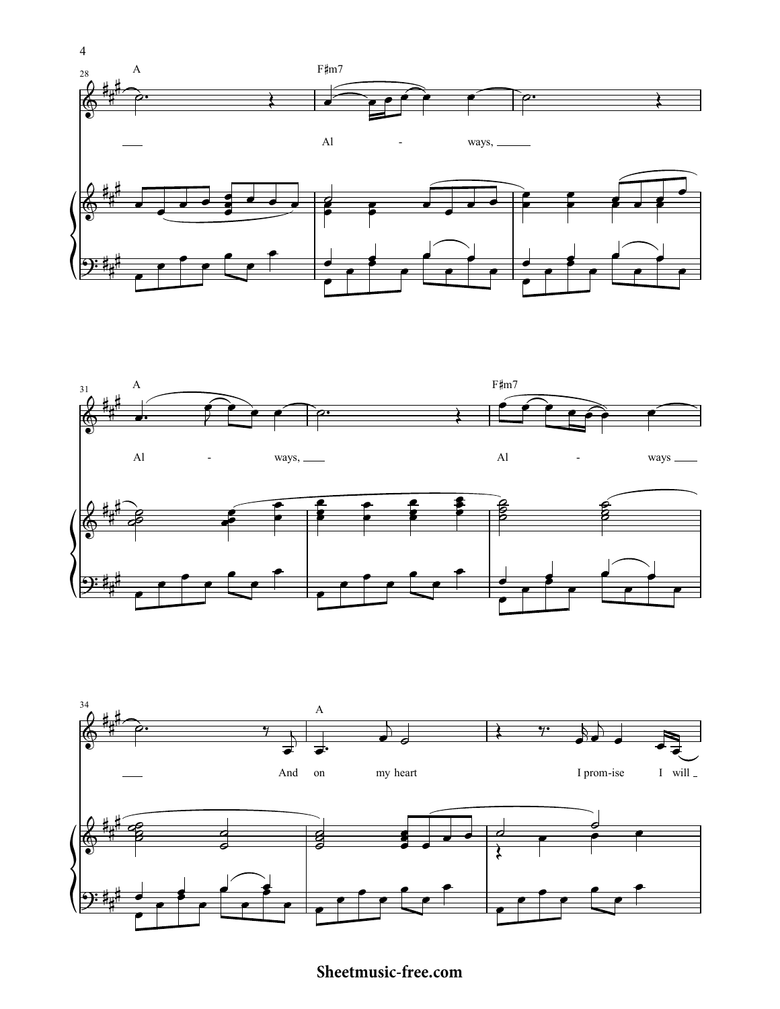





4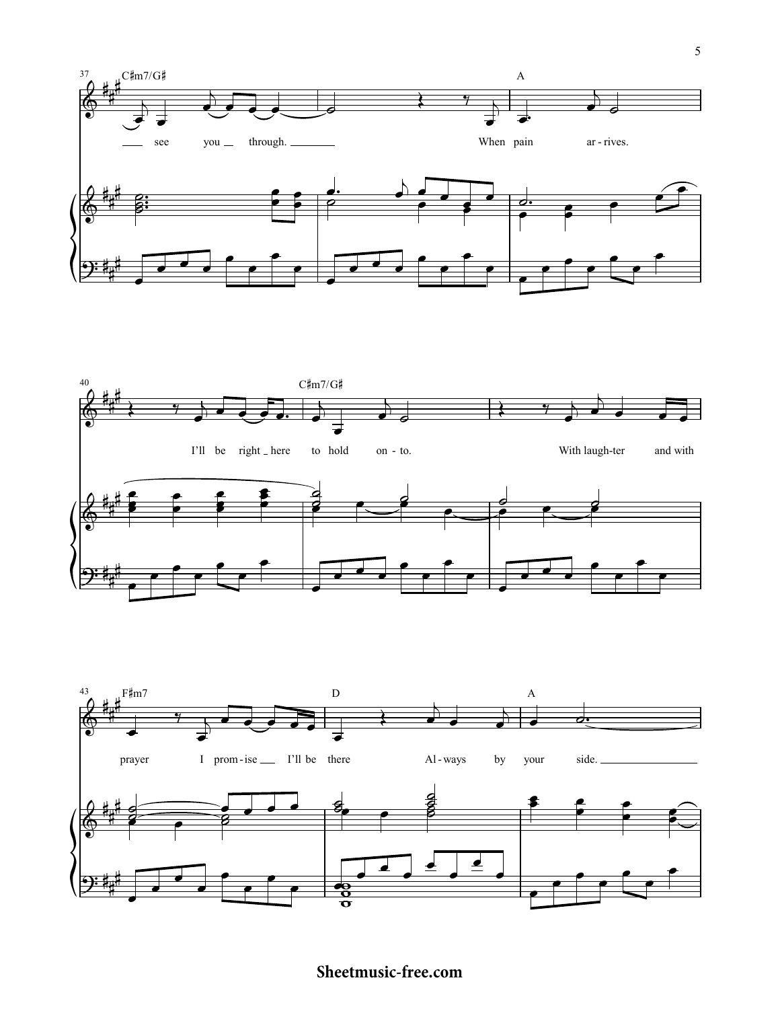





5